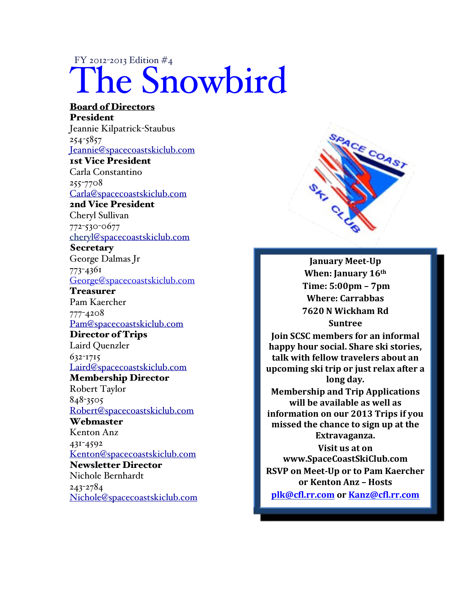# FY 2012-2013 Edition #4 The Snowbird

#### Board of Directors President Jeannie Kilpatrick-Staubus 254-5857 Jeannie@spacecoastskiclub.com 1st Vice President Carla Constantino 255-7708 Carla@spacecoastskiclub.com 2nd Vice President Cheryl Sullivan 772-530-0677 cheryl@spacecoastskiclub.com **Secretary** George Dalmas Jr 773-4361 George@spacecoastskiclub.com Treasurer Pam Kaercher 777-4208 Pam@spacecoastskiclub.com Director of Trips Laird Quenzler 632-1715 Laird@spacecoastskiclub.com Membership Director Robert Taylor 848-3505 Robert@spacecoastskiclub.com **Webmaster** Kenton Anz 431-4592 Kenton@spacecoastskiclub.com Newsletter Director Nichole Bernhardt 243-2784 Nichole@spacecoastskiclub.com



**January Meet+Up** When: January 16<sup>th</sup> **Time: 5:00pm – 7pm Where: Carrabbas 7620'N'Wickham'Rd Suntree**

**Join'SCSC'members'for'an'informal'** happy hour social. Share ski stories, **talk'with'fellow'travelers'about'an' upcoming'ski'trip'or'just'relax'after'a'** long day. **Membership'and'Trip'Applications' will'be'available'as'well'as' information'on'our'2013'Trips'if'you'**

missed the chance to sign up at the **Extravaganza.**

**Visit us at on www.SpaceCoastSkiClub.com RSVP** on Meet-Up or to Pam Kaercher **or'Kenton'Anz'– Hosts plk@cfl.rr.com or'Kanz@cfl.rr.com**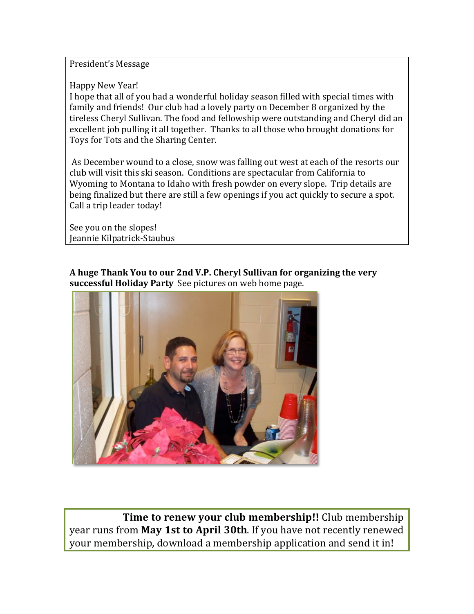#### President's Message

#### Happy New Year!

I hope that all of you had a wonderful holiday season filled with special times with family and friends! Our club had a lovely party on December 8 organized by the tireless Cheryl Sullivan. The food and fellowship were outstanding and Cheryl did an excellent job pulling it all together. Thanks to all those who brought donations for Toys for Tots and the Sharing Center.

As December wound to a close, snow was falling out west at each of the resorts our club will visit this ski season. Conditions are spectacular from California to Wyoming to Montana to Idaho with fresh powder on every slope. Trip details are being finalized but there are still a few openings if you act quickly to secure a spot. Call a trip leader today!

See you on the slopes! Jeannie Kilpatrick-Staubus

**A'huge'Thank'You'to'our'2nd'V.P.'Cheryl'Sullivan'for'organizing'the'very' successful Holiday Party** See pictures on web home page.



**Time to renew your club membership!!** Club membership year runs from May 1st to April 30th. If you have not recently renewed your membership, download a membership application and send it in!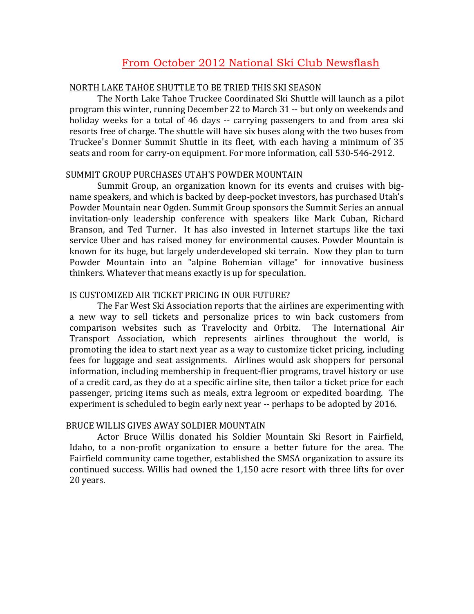## From October 2012 National Ski Club Newsflash

#### NORTH LAKE TAHOE SHUTTLE TO BE TRIED THIS SKI SEASON

The North Lake Tahoe Truckee Coordinated Ski Shuttle will launch as a pilot program this winter, running December 22 to March 31 -- but only on weekends and holiday weeks for a total of 46 days -- carrying passengers to and from area ski resorts free of charge. The shuttle will have six buses along with the two buses from Truckee's Donner Summit Shuttle in its fleet, with each having a minimum of 35 seats and room for carry-on equipment. For more information, call 530-546-2912.

#### SUMMIT GROUP PURCHASES UTAH'S POWDER MOUNTAIN

Summit Group, an organization known for its events and cruises with bigname speakers, and which is backed by deep-pocket investors, has purchased Utah's Powder Mountain near Ogden. Summit Group sponsors the Summit Series an annual invitation-only leadership conference with speakers like Mark Cuban, Richard Branson, and Ted Turner. It has also invested in Internet startups like the taxi service Uber and has raised money for environmental causes. Powder Mountain is known for its huge, but largely underdeveloped ski terrain. Now they plan to turn Powder Mountain into an "alpine Bohemian village" for innovative business thinkers. Whatever that means exactly is up for speculation.

#### IS CUSTOMIZED AIR TICKET PRICING IN OUR FUTURE?

The Far West Ski Association reports that the airlines are experimenting with  $\blacksquare$ a new way to sell tickets and personalize prices to win back customers from comparison websites such as Travelocity and Orbitz. The International Air Transport Association, which represents airlines throughout the world, is promoting the idea to start next year as a way to customize ticket pricing, including fees for luggage and seat assignments. Airlines would ask shoppers for personal information, including membership in frequent-flier programs, travel history or use of a credit card, as they do at a specific airline site, then tailor a ticket price for each passenger, pricing items such as meals, extra legroom or expedited boarding. The experiment is scheduled to begin early next year -- perhaps to be adopted by 2016.

#### BRUCE WILLIS GIVES AWAY SOLDIER MOUNTAIN

Actor Bruce Willis donated his Soldier Mountain Ski Resort in Fairfield, Idaho, to a non-profit organization to ensure a better future for the area. The Fairfield community came together, established the SMSA organization to assure its continued success. Willis had owned the 1,150 acre resort with three lifts for over 20 years.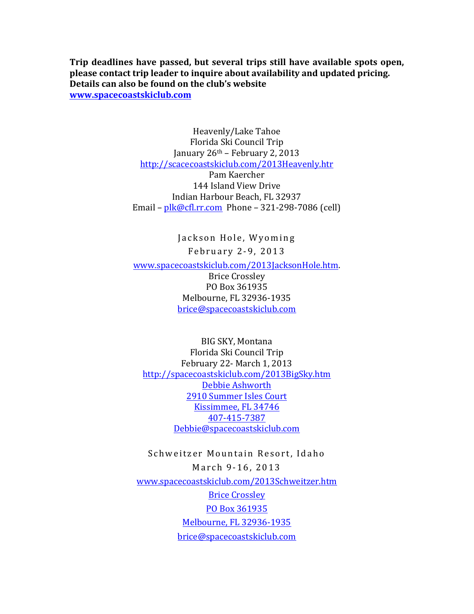Trip deadlines have passed, but several trips still have available spots open, **please'contact'trip'leader'to'inquire'about'availability'and'updated'pricing.** Details can also be found on the club's website **www.spacecoastskiclub.com**

> Heavenly/Lake Tahoe Florida Ski Council Trip January  $26<sup>th</sup>$  – February 2, 2013 http://scacecoastskiclub.com/2013Heavenly.htr Pam!Kaercher 144 Island View Drive Indian Harbour Beach, FL 32937 Email – plk@cfl.rr.com Phone – 321-298-7086 (cell)

Jackson Hole, Wyoming February 2-9, 2013 www.spacecoastskiclub.com/2013JacksonHole.htm. Brice Crossley PO!Box!361935 Melbourne, FL 32936-1935 brice@spacecoastskiclub.com

BIG SKY, Montana Florida Ski Council Trip February 22- March 1, 2013 http://spacecoastskiclub.com/2013BigSky.htm Debbie Ashworth 2910 Summer Isles Court Kissimmee, FL 34746 407-415-7387 Debbie@spacecoastskiclub.com

Schweitzer Mountain Resort, Idaho March 9-16, 2013 www.spacecoastskiclub.com/2013Schweitzer.htm **Brice Crossley** PO Box 361935 Melbourne, FL 32936-1935 brice@spacecoastskiclub.com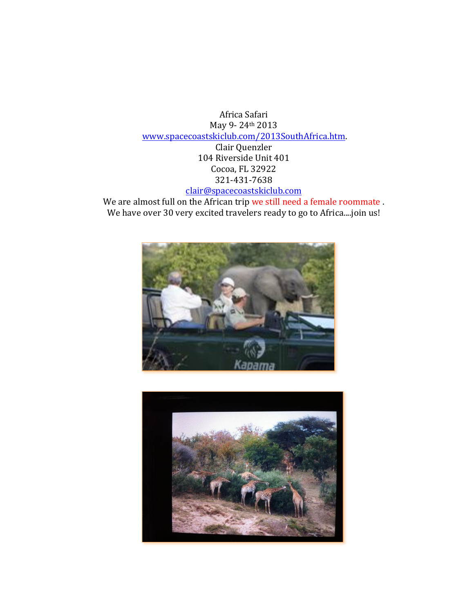Africa Safari May 9-24<sup>th</sup> 2013 www.spacecoastskiclub.com/2013SouthAfrica.htm.! Clair Quenzler 104 Riverside Unit 401 Cocoa, FL 32922 321-431-7638

clair@spacecoastskiclub.com

We are almost full on the African trip we still need a female roommate . We have over 30 very excited travelers ready to go to Africa....join us!



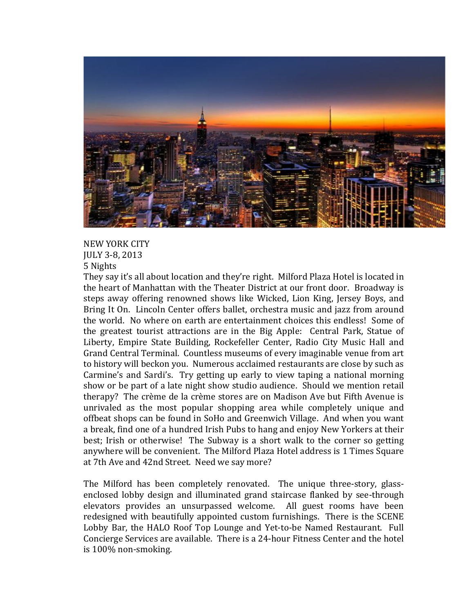

NEW YORK CITY JULY 3-8, 2013 5 Nights

They say it's all about location and they're right. Milford Plaza Hotel is located in the heart of Manhattan with the Theater District at our front door. Broadway is steps away offering renowned shows like Wicked, Lion King, Jersey Boys, and Bring It On. Lincoln Center offers ballet, orchestra music and jazz from around the world. No where on earth are entertainment choices this endless! Some of the greatest tourist attractions are in the Big Apple: Central Park, Statue of Liberty, Empire State Building, Rockefeller Center, Radio City Music Hall and Grand Central Terminal. Countless museums of every imaginable venue from art to history will beckon you. Numerous acclaimed restaurants are close by such as Carmine's and Sardi's. Try getting up early to view taping a national morning show or be part of a late night show studio audience. Should we mention retail therapy? The crème de la crème stores are on Madison Ave but Fifth Avenue is unrivaled as the most popular shopping area while completely unique and offbeat shops can be found in SoHo and Greenwich Village. And when you want a break, find one of a hundred Irish Pubs to hang and enjoy New Yorkers at their best; Irish or otherwise! The Subway is a short walk to the corner so getting anywhere will be convenient. The Milford Plaza Hotel address is 1 Times Square at 7th Ave and 42nd Street. Need we say more?

The Milford has been completely renovated. The unique three-story, glassenclosed lobby design and illuminated grand staircase flanked by see-through elevators provides an unsurpassed welcome. All guest rooms have been redesigned with beautifully appointed custom furnishings. There is the SCENE Lobby Bar, the HALO Roof Top Lounge and Yet-to-be Named Restaurant. Full Concierge Services are available. There is a 24-hour Fitness Center and the hotel is  $100\%$  non-smoking.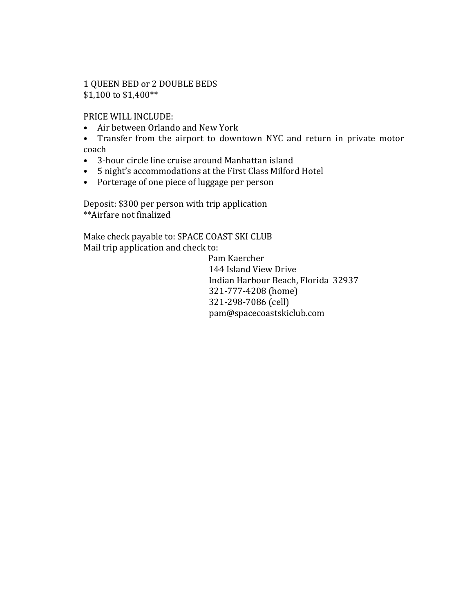#### 1 QUEEN BED or 2 DOUBLE BEDS  $$1,100$  to  $$1,400**$

PRICE WILL INCLUDE:

- Air between Orlando and New York
- Transfer from the airport to downtown NYC and return in private motor coach
- 3-hour circle line cruise around Manhattan island
- 5 night's accommodations at the First Class Milford Hotel
- Porterage of one piece of luggage per person

Deposit: \$300 per person with trip application \*\*Airfare not finalized

Make check payable to: SPACE COAST SKI CLUB Mail trip application and check to:

> Pam Kaercher 144 Island View Drive Indian Harbour Beach, Florida 32937 321-777-4208 (home) 321-298-7086 (cell) pam@spacecoastskiclub.com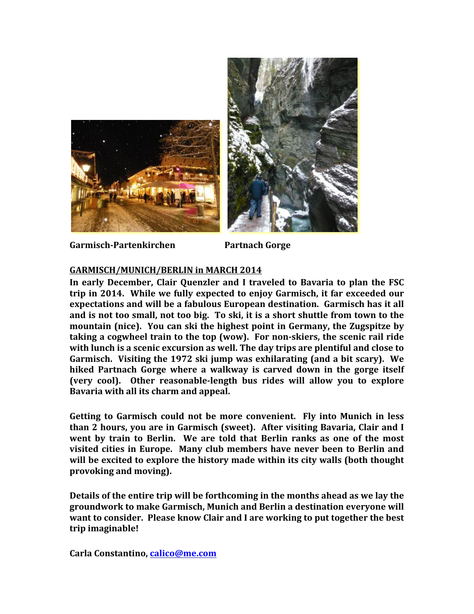



Garmisch-Partenkirchen Partnach Gorge

#### **GARMISCH/MUNICH/BERLIN'in'MARCH'2014**

In early December, Clair Quenzler and I traveled to Bavaria to plan the FSC **trip' in'2014.''While'we' fully'expected' to'enjoy'Garmisch,' it' far'exceeded'our' expectations'and'will'be'a'fabulous'European'destination.''Garmisch'has'it'all'** and is not too small, not too big. To ski, it is a short shuttle from town to the mountain (nice). You can ski the highest point in Germany, the Zugspitze by taking a cogwheel train to the top (wow). For non-skiers, the scenic rail ride with lunch is a scenic excursion as well. The day trips are plentiful and close to Garmisch. Visiting the 1972 ski jump was exhilarating (and a bit scary). We **hiked' Partnach' Gorge' where' a' walkway' is' carved' down' in' the' gorge' itself'** (very cool). Other reasonable-length bus rides will allow you to explore Bavaria with all its charm and appeal.

Getting to Garmisch could not be more convenient. Fly into Munich in less than 2 hours, you are in Garmisch (sweet). After visiting Bavaria, Clair and I went by train to Berlin. We are told that Berlin ranks as one of the most visited cities in Europe. Many club members have never been to Berlin and will be excited to explore the history made within its city walls (both thought) **provoking'and'moving).'**

Details of the entire trip will be forthcoming in the months ahead as we lay the **groundwork'to'make'Garmisch,'Munich'and'Berlin'a'destination'everyone'will'** want to consider. Please know Clair and I are working to put together the best **trip'imaginable!**

Carla Constantino, calico@me.com